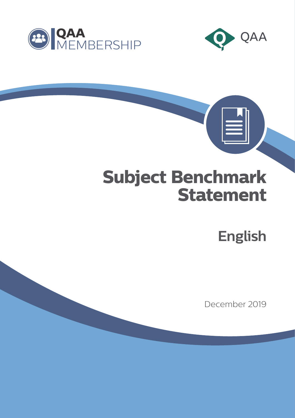



 $|\equiv|$ 

# **Subject Benchmark Statement**

**English**

December 2019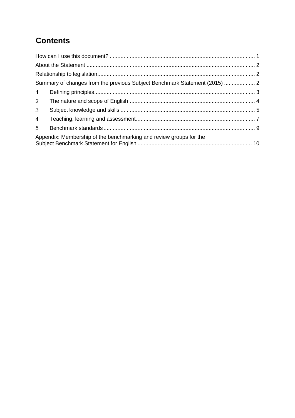# **Contents**

| 1                                                                  |  |  |
|--------------------------------------------------------------------|--|--|
| 2 <sup>7</sup>                                                     |  |  |
| 3 <sup>1</sup>                                                     |  |  |
| $\overline{4}$                                                     |  |  |
| 5                                                                  |  |  |
| Appendix: Membership of the benchmarking and review groups for the |  |  |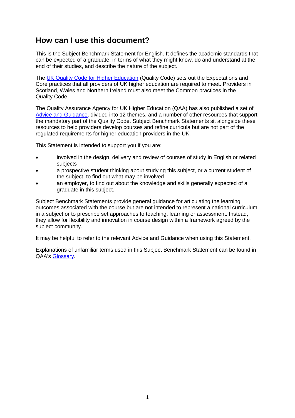# <span id="page-2-0"></span>**How can I use this document?**

This is the Subject Benchmark Statement for English. It defines the academic standards that can be expected of a graduate, in terms of what they might know, do and understand at the end of their studies, and describe the nature of the subject.

The [UK Quality Code for Higher Education](https://www.qaa.ac.uk/quality-code) (Quality Code) sets out the Expectations and Core practices that all providers of UK higher education are required to meet. Providers in Scotland, Wales and Northern Ireland must also meet the Common practices in the Quality Code.

The Quality Assurance Agency for UK Higher Education (QAA) has also published a set of [Advice and Guidance,](https://www.qaa.ac.uk/quality-code/advice-and-guidance) divided into 12 themes, and a number of other resources that support the mandatory part of the Quality Code. Subject Benchmark Statements sit alongside these resources to help providers develop courses and refine curricula but are not part of the regulated requirements for higher education providers in the UK.

This Statement is intended to support you if you are:

- involved in the design, delivery and review of courses of study in English or related subjects
- a prospective student thinking about studying this subject, or a current student of the subject, to find out what may be involved
- an employer, to find out about the knowledge and skills generally expected of a graduate in this subject.

Subject Benchmark Statements provide general guidance for articulating the learning outcomes associated with the course but are not intended to represent a national curriculum in a subject or to prescribe set approaches to teaching, learning or assessment. Instead, they allow for flexibility and innovation in course design within a framework agreed by the subject community.

It may be helpful to refer to the relevant Advice and Guidance when using this Statement.

Explanations of unfamiliar terms used in this Subject Benchmark Statement can be found in QAA's [Glossary.](http://www.qaa.ac.uk/glossary)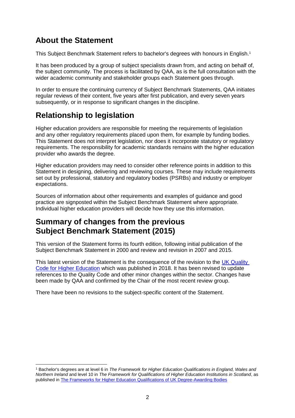# <span id="page-3-0"></span>**About the Statement**

This Subject Benchmark Statement refers to bachelor's degrees with honours in English.<sup>1</sup>

It has been produced by a group of subject specialists drawn from, and acting on behalf of, the subject community. The process is facilitated by QAA, as is the full consultation with the wider academic community and stakeholder groups each Statement goes through.

In order to ensure the continuing currency of Subject Benchmark Statements, QAA initiates regular reviews of their content, five years after first publication, and every seven years subsequently, or in response to significant changes in the discipline.

# <span id="page-3-1"></span>**Relationship to legislation**

Higher education providers are responsible for meeting the requirements of legislation and any other regulatory requirements placed upon them, for example by funding bodies. This Statement does not interpret legislation, nor does it incorporate statutory or regulatory requirements. The responsibility for academic standards remains with the higher education provider who awards the degree.

Higher education providers may need to consider other reference points in addition to this Statement in designing, delivering and reviewing courses. These may include requirements set out by professional, statutory and regulatory bodies (PSRBs) and industry or employer expectations.

Sources of information about other requirements and examples of guidance and good practice are signposted within the Subject Benchmark Statement where appropriate. Individual higher education providers will decide how they use this information.

# <span id="page-3-2"></span>**Summary of changes from the previous Subject Benchmark Statement (2015)**

This version of the Statement forms its fourth edition, following initial publication of the Subject Benchmark Statement in 2000 and review and revision in 2007 and 2015.

This latest version of the Statement is the consequence of the revision to the [UK Quality](http://www.qaa.ac.uk/quality-code)  [Code for Higher Education](http://www.qaa.ac.uk/quality-code) which was published in 2018. It has been revised to update references to the Quality Code and other minor changes within the sector. Changes have been made by QAA and confirmed by the Chair of the most recent review group.

There have been no revisions to the subject-specific content of the Statement.

 $\overline{a}$ <sup>1</sup> Bachelor's degrees are at level 6 in *The Framework for Higher Education Qualifications in England, Wales and Northern Ireland* and level 10 in *The Framework for Qualifications of Higher Education Institutions in Scotland*, as published i[n The Frameworks for Higher Education Qualifications of UK Degree-Awarding Bodies](https://www.qaa.ac.uk/quality-code/qualifications-and-credit-frameworks)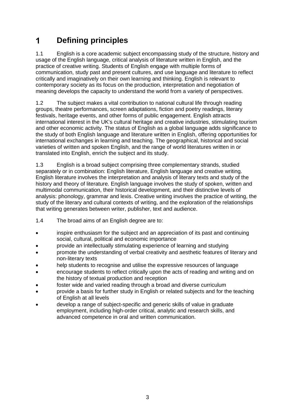#### <span id="page-4-0"></span> $\mathbf 1$ **Defining principles**

1.1 English is a core academic subject encompassing study of the structure, history and usage of the English language, critical analysis of literature written in English, and the practice of creative writing. Students of English engage with multiple forms of communication, study past and present cultures, and use language and literature to reflect critically and imaginatively on their own learning and thinking. English is relevant to contemporary society as its focus on the production, interpretation and negotiation of meaning develops the capacity to understand the world from a variety of perspectives.

1.2 The subject makes a vital contribution to national cultural life through reading groups, theatre performances, screen adaptations, fiction and poetry readings, literary festivals, heritage events, and other forms of public engagement. English attracts international interest in the UK's cultural heritage and creative industries, stimulating tourism and other economic activity. The status of English as a global language adds significance to the study of both English language and literature written in English, offering opportunities for international exchanges in learning and teaching. The geographical, historical and social varieties of written and spoken English, and the range of world literatures written in or translated into English, enrich the subject and its study.

1.3 English is a broad subject comprising three complementary strands, studied separately or in combination: English literature, English language and creative writing. English literature involves the interpretation and analysis of literary texts and study of the history and theory of literature. English language involves the study of spoken, written and multimodal communication, their historical development, and their distinctive levels of analysis: phonology, grammar and lexis. Creative writing involves the practice of writing, the study of the literary and cultural contexts of writing, and the exploration of the relationships that writing generates between writer, publisher, text and audience.

- 1.4 The broad aims of an English degree are to:
- inspire enthusiasm for the subject and an appreciation of its past and continuing social, cultural, political and economic importance
- provide an intellectually stimulating experience of learning and studying
- promote the understanding of verbal creativity and aesthetic features of literary and non-literary texts
- help students to recognise and utilise the expressive resources of language
- encourage students to reflect critically upon the acts of reading and writing and on the history of textual production and reception
- foster wide and varied reading through a broad and diverse curriculum
- provide a basis for further study in English or related subjects and for the teaching of English at all levels
- develop a range of subject-specific and generic skills of value in graduate employment, including high-order critical, analytic and research skills, and advanced competence in oral and written communication.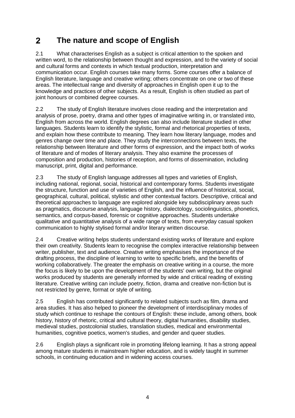#### <span id="page-5-0"></span> $2<sup>1</sup>$ **The nature and scope of English**

2.1 What characterises English as a subject is critical attention to the spoken and written word, to the relationship between thought and expression, and to the variety of social and cultural forms and contexts in which textual production, interpretation and communication occur. English courses take many forms. Some courses offer a balance of English literature, language and creative writing; others concentrate on one or two of these areas. The intellectual range and diversity of approaches in English open it up to the knowledge and practices of other subjects. As a result, English is often studied as part of joint honours or combined degree courses.

2.2 The study of English literature involves close reading and the interpretation and analysis of prose, poetry, drama and other types of imaginative writing in, or translated into, English from across the world. English degrees can also include literature studied in other languages. Students learn to identify the stylistic, formal and rhetorical properties of texts, and explain how these contribute to meaning. They learn how literary language, modes and genres change over time and place. They study the interconnections between texts, the relationship between literature and other forms of expression, and the impact both of works of literature and of modes of literary analysis. They also examine the processes of composition and production, histories of reception, and forms of dissemination, including manuscript, print, digital and performance.

2.3 The study of English language addresses all types and varieties of English, including national, regional, social, historical and contemporary forms. Students investigate the structure, function and use of varieties of English, and the influence of historical, social, geographical, cultural, political, stylistic and other contextual factors. Descriptive, critical and theoretical approaches to language are explored alongside key subdisciplinary areas such as pragmatics, discourse analysis, language history, dialectology, sociolinguistics, phonetics, semantics, and corpus-based, forensic or cognitive approaches. Students undertake qualitative and quantitative analysis of a wide range of texts, from everyday casual spoken communication to highly stylised formal and/or literary written discourse.

2.4 Creative writing helps students understand existing works of literature and explore their own creativity. Students learn to recognise the complex interactive relationship between writer, publisher, text and audience. Creative writing emphasises the importance of the drafting process, the discipline of learning to write to specific briefs, and the benefits of working collaboratively. The greater the emphasis on creative writing in a course, the more the focus is likely to be upon the development of the students' own writing, but the original works produced by students are generally informed by wide and critical reading of existing literature. Creative writing can include poetry, fiction, drama and creative non-fiction but is not restricted by genre, format or style of writing.

2.5 English has contributed significantly to related subjects such as film, drama and area studies. It has also helped to pioneer the development of interdisciplinary modes of study which continue to reshape the contours of English: these include, among others, book history, history of rhetoric, critical and cultural theory, digital humanities, disability studies, medieval studies, postcolonial studies, translation studies, medical and environmental humanities, cognitive poetics, women's studies, and gender and queer studies.

2.6 English plays a significant role in promoting lifelong learning. It has a strong appeal among mature students in mainstream higher education, and is widely taught in summer schools, in continuing education and in widening access courses.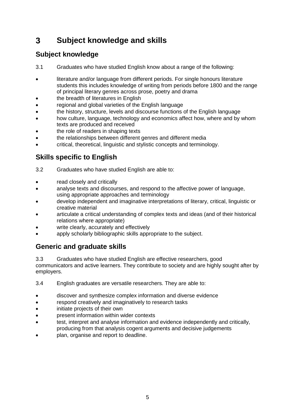#### <span id="page-6-0"></span> $\mathbf{3}$ **Subject knowledge and skills**

# **Subject knowledge**

- 3.1 Graduates who have studied English know about a range of the following:
- literature and/or language from different periods. For single honours literature students this includes knowledge of writing from periods before 1800 and the range of principal literary genres across prose, poetry and drama
- the breadth of literatures in English
- regional and global varieties of the English language
- the history, structure, levels and discourse functions of the English language
- how culture, language, technology and economics affect how, where and by whom texts are produced and received
- the role of readers in shaping texts
- the relationships between different genres and different media
- critical, theoretical, linguistic and stylistic concepts and terminology.

# **Skills specific to English**

- 3.2 Graduates who have studied English are able to:
- read closely and critically
- analyse texts and discourses, and respond to the affective power of language, using appropriate approaches and terminology
- develop independent and imaginative interpretations of literary, critical, linguistic or creative material
- articulate a critical understanding of complex texts and ideas (and of their historical relations where appropriate)
- write clearly, accurately and effectively
- apply scholarly bibliographic skills appropriate to the subject.

## **Generic and graduate skills**

3.3 Graduates who have studied English are effective researchers, good communicators and active learners. They contribute to society and are highly sought after by employers.

3.4 English graduates are versatile researchers. They are able to:

- discover and synthesize complex information and diverse evidence
- respond creatively and imaginatively to research tasks
- initiate projects of their own
- present information within wider contexts
- test, interpret and analyse information and evidence independently and critically, producing from that analysis cogent arguments and decisive judgements
- plan, organise and report to deadline.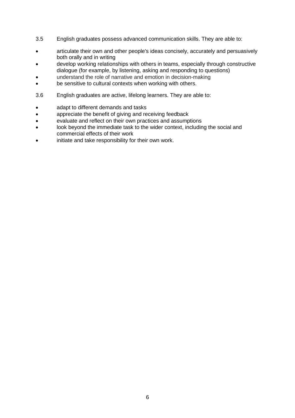- 3.5 English graduates possess advanced communication skills. They are able to:
- articulate their own and other people's ideas concisely, accurately and persuasively both orally and in writing
- develop working relationships with others in teams, especially through constructive dialogue (for example, by listening, asking and responding to questions)
- understand the role of narrative and emotion in decision-making
- be sensitive to cultural contexts when working with others.
- 3.6 English graduates are active, lifelong learners. They are able to:
- adapt to different demands and tasks
- appreciate the benefit of giving and receiving feedback
- evaluate and reflect on their own practices and assumptions
- look beyond the immediate task to the wider context, including the social and commercial effects of their work
- initiate and take responsibility for their own work.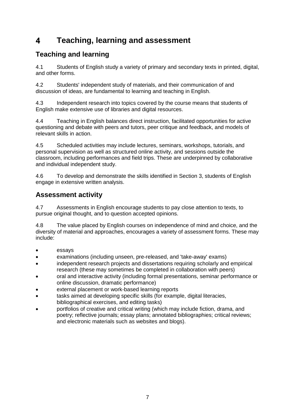#### <span id="page-8-0"></span> $\overline{\mathbf{A}}$ **Teaching, learning and assessment**

# **Teaching and learning**

4.1 Students of English study a variety of primary and secondary texts in printed, digital, and other forms.

4.2 Students' independent study of materials, and their communication of and discussion of ideas, are fundamental to learning and teaching in English.

4.3 Independent research into topics covered by the course means that students of English make extensive use of libraries and digital resources.

4.4 Teaching in English balances direct instruction, facilitated opportunities for active questioning and debate with peers and tutors, peer critique and feedback, and models of relevant skills in action.

4.5 Scheduled activities may include lectures, seminars, workshops, tutorials, and personal supervision as well as structured online activity, and sessions outside the classroom, including performances and field trips. These are underpinned by collaborative and individual independent study.

4.6 To develop and demonstrate the skills identified in Section 3, students of English engage in extensive written analysis.

## **Assessment activity**

4.7 Assessments in English encourage students to pay close attention to texts, to pursue original thought, and to question accepted opinions.

4.8 The value placed by English courses on independence of mind and choice, and the diversity of material and approaches, encourages a variety of assessment forms. These may include:

- essays
- examinations (including unseen, pre-released, and 'take-away' exams)
- independent research projects and dissertations requiring scholarly and empirical research (these may sometimes be completed in collaboration with peers)
- oral and interactive activity (including formal presentations, seminar performance or online discussion, dramatic performance)
- external placement or work-based learning reports
- tasks aimed at developing specific skills (for example, digital literacies, bibliographical exercises, and editing tasks)
- portfolios of creative and critical writing (which may include fiction, drama, and poetry; reflective journals; essay plans; annotated bibliographies; critical reviews; and electronic materials such as websites and blogs).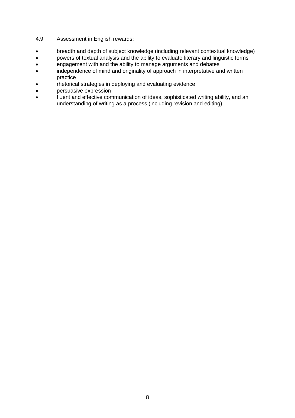- 4.9 Assessment in English rewards:
- breadth and depth of subject knowledge (including relevant contextual knowledge)
- powers of textual analysis and the ability to evaluate literary and linguistic forms
- engagement with and the ability to manage arguments and debates
- independence of mind and originality of approach in interpretative and written practice
- rhetorical strategies in deploying and evaluating evidence
- persuasive expression
- fluent and effective communication of ideas, sophisticated writing ability, and an understanding of writing as a process (including revision and editing).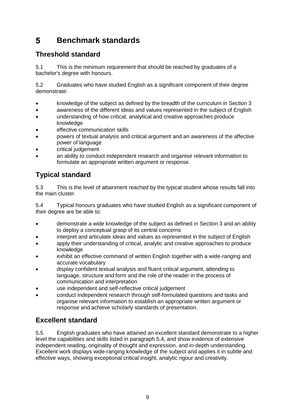#### <span id="page-10-0"></span>5 **Benchmark standards**

# **Threshold standard**

5.1 This is the minimum requirement that should be reached by graduates of a bachelor's degree with honours.

5.2 Graduates who have studied English as a significant component of their degree demonstrate:

- knowledge of the subject as defined by the breadth of the curriculum in Section 3
- awareness of the different ideas and values represented in the subject of English
- understanding of how critical, analytical and creative approaches produce knowledge
- effective communication skills
- powers of textual analysis and critical argument and an awareness of the affective power of language
- critical judgement
- an ability to conduct independent research and organise relevant information to formulate an appropriate written argument or response.

# **Typical standard**

5.3 This is the level of attainment reached by the typical student whose results fall into the main cluster.

5.4 Typical honours graduates who have studied English as a significant component of their degree are be able to:

- demonstrate a wide knowledge of the subject as defined in Section 3 and an ability to deploy a conceptual grasp of its central concerns
- interpret and articulate ideas and values as represented in the subject of English
- apply their understanding of critical, analytic and creative approaches to produce knowledge
- exhibit an effective command of written English together with a wide-ranging and accurate vocabulary
- display confident textual analysis and fluent critical argument, attending to language, structure and form and the role of the reader in the process of communication and interpretation
- use independent and self-reflective critical judgement
- conduct independent research through self-formulated questions and tasks and organise relevant information to establish an appropriate written argument or response and achieve scholarly standards of presentation.

## **Excellent standard**

5.5 English graduates who have attained an excellent standard demonstrate to a higher level the capabilities and skills listed in paragraph 5.4, and show evidence of extensive independent reading, originality of thought and expression, and in-depth understanding. Excellent work displays wide-ranging knowledge of the subject and applies it in subtle and effective ways, showing exceptional critical insight, analytic rigour and creativity.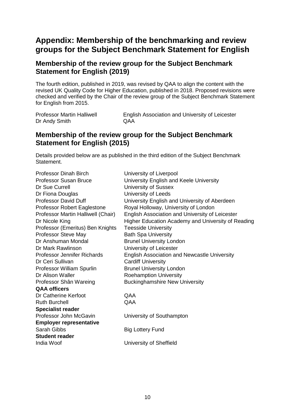# <span id="page-11-0"></span>**Appendix: Membership of the benchmarking and review groups for the Subject Benchmark Statement for English**

#### **Membership of the review group for the Subject Benchmark Statement for English (2019)**

The fourth edition, published in 2019, was revised by QAA to align the content with the revised UK Quality Code for Higher Education, published in 2018. Proposed revisions were checked and verified by the Chair of the review group of the Subject Benchmark Statement for English from 2015.

| Professor Martin Halliwell | English Association and University of Leicester |
|----------------------------|-------------------------------------------------|
| Dr Andy Smith              | QAA                                             |

#### **Membership of the review group for the Subject Benchmark Statement for English (2015)**

Details provided below are as published in the third edition of the Subject Benchmark Statement.

| <b>Professor Dinah Birch</b>       | University of Liverpool                             |
|------------------------------------|-----------------------------------------------------|
| <b>Professor Susan Bruce</b>       | University English and Keele University             |
| Dr Sue Currell                     | University of Sussex                                |
| Dr Fiona Douglas                   | University of Leeds                                 |
| <b>Professor David Duff</b>        | University English and University of Aberdeen       |
| Professor Robert Eaglestone        | Royal Holloway, University of London                |
| Professor Martin Halliwell (Chair) | English Association and University of Leicester     |
| Dr Nicole King                     | Higher Education Academy and University of Reading  |
| Professor (Emeritus) Ben Knights   | <b>Teesside University</b>                          |
| Professor Steve May                | <b>Bath Spa University</b>                          |
| Dr Anshuman Mondal                 | <b>Brunel University London</b>                     |
| Dr Mark Rawlinson                  | University of Leicester                             |
| Professor Jennifer Richards        | <b>English Association and Newcastle University</b> |
| Dr Ceri Sullivan                   | <b>Cardiff University</b>                           |
| Professor William Spurlin          | <b>Brunel University London</b>                     |
| Dr Alison Waller                   | <b>Roehamption University</b>                       |
| Professor Shân Wareing             | <b>Buckinghamshire New University</b>               |
| <b>QAA officers</b>                |                                                     |
| Dr Catherine Kerfoot               | QAA                                                 |
| <b>Ruth Burchell</b>               | QAA                                                 |
| <b>Specialist reader</b>           |                                                     |
| Professor John McGavin             | University of Southampton                           |
| <b>Employer representative</b>     |                                                     |
| Sarah Gibbs                        | <b>Big Lottery Fund</b>                             |
| <b>Student reader</b>              |                                                     |
| India Woof                         | University of Sheffield                             |
|                                    |                                                     |